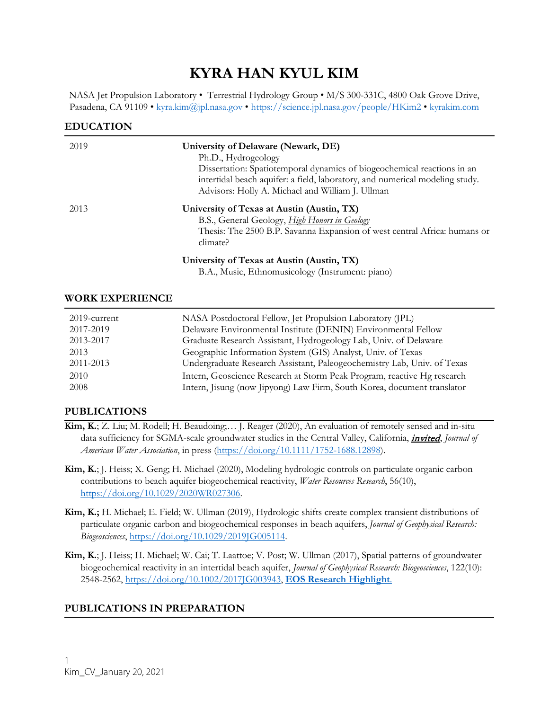# **KYRA HAN KYUL KIM**

NASA Jet Propulsion Laboratory • Terrestrial Hydrology Group • M/S 300-331C, 4800 Oak Grove Drive, Pasadena, CA 91109 • [kyra.kim@j](mailto:kyra.kim@)pl.nasa.gov •<https://science.jpl.nasa.gov/people/HKim2> • [kyrakim.com](https://kyrakim.com/)

#### **EDUCATION**

| 2019 | University of Delaware (Newark, DE)<br>Ph.D., Hydrogeology<br>Dissertation: Spatiotemporal dynamics of biogeochemical reactions in an<br>intertidal beach aquifer: a field, laboratory, and numerical modeling study.<br>Advisors: Holly A. Michael and William J. Ullman |
|------|---------------------------------------------------------------------------------------------------------------------------------------------------------------------------------------------------------------------------------------------------------------------------|
| 2013 | University of Texas at Austin (Austin, TX)<br>B.S., General Geology, <i>High Honors in Geology</i><br>Thesis: The 2500 B.P. Savanna Expansion of west central Africa: humans or<br>climate?                                                                               |
|      | University of Texas at Austin (Austin, TX)<br>B.A., Music, Ethnomusicology (Instrument: piano)                                                                                                                                                                            |

#### **WORK EXPERIENCE**

| 2019-current | NASA Postdoctoral Fellow, Jet Propulsion Laboratory (JPL)               |
|--------------|-------------------------------------------------------------------------|
| 2017-2019    | Delaware Environmental Institute (DENIN) Environmental Fellow           |
| 2013-2017    | Graduate Research Assistant, Hydrogeology Lab, Univ. of Delaware        |
| 2013         | Geographic Information System (GIS) Analyst, Univ. of Texas             |
| 2011-2013    | Undergraduate Research Assistant, Paleogeochemistry Lab, Univ. of Texas |
| 2010         | Intern, Geoscience Research at Storm Peak Program, reactive Hg research |
| 2008         | Intern, Jisung (now Jipyong) Law Firm, South Korea, document translator |

## **PUBLICATIONS**

- **Kim, K.**; Z. Liu; M. Rodell; H. Beaudoing;… J. Reager (2020), An evaluation of remotely sensed and in-situ data sufficiency for SGMA-scale groundwater studies in the Central Valley, California, *invited*, *Journal of American Water Association*, in press [\(https://doi.org/10.1111/1752-1688.12898\)](https://doi.org/10.1111/1752-1688.12898).
- **Kim, K.**; J. Heiss; X. Geng; H. Michael (2020), Modeling hydrologic controls on particulate organic carbon contributions to beach aquifer biogeochemical reactivity, *Water Resources Research*, 56(10), [https://doi.org/10.1029/2020WR027306.](https://doi.org/10.1029/2020WR027306)
- **Kim, K.;** H. Michael; E. Field; W. Ullman (2019), Hydrologic shifts create complex transient distributions of particulate organic carbon and biogeochemical responses in beach aquifers, *Journal of Geophysical Research: Biogeosciences*, [https://doi.org/10.1029/2019JG005114.](https://doi.org/10.1029/2019JG005114)
- **Kim, K.**; J. Heiss; H. Michael; W. Cai; T. Laattoe; V. Post; W. Ullman (2017), Spatial patterns of groundwater biogeochemical reactivity in an intertidal beach aquifer, *Journal of Geophysical Research: Biogeosciences*, 122(10): 2548-2562, [https://doi.org/10.1002/2017JG003943,](https://doi.org/10.1002/2017JG003943) **[EOS Research Highlight](https://eos.org/research-spotlights/sandy-beaches-are-hotbeds-of-biochemical-activity)**.

# **PUBLICATIONS IN PREPARATION**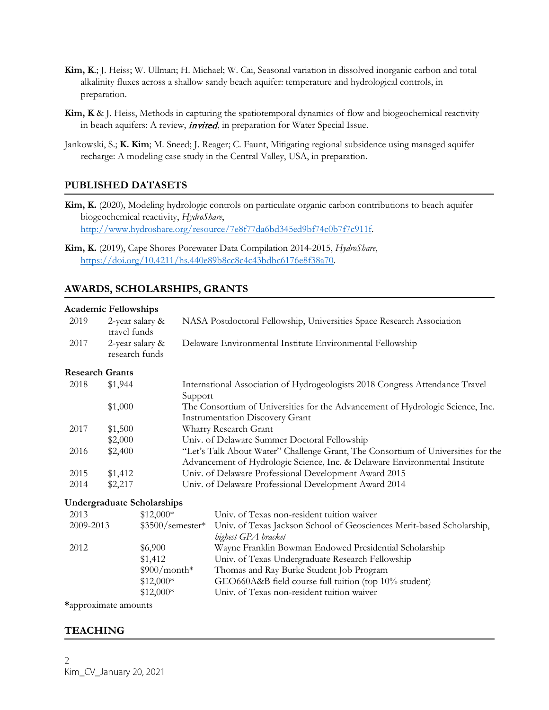- **Kim, K**.; J. Heiss; W. Ullman; H. Michael; W. Cai, Seasonal variation in dissolved inorganic carbon and total alkalinity fluxes across a shallow sandy beach aquifer: temperature and hydrological controls, in preparation.
- **Kim, K** & J. Heiss, Methods in capturing the spatiotemporal dynamics of flow and biogeochemical reactivity in beach aquifers: A review, *invited*, in preparation for Water Special Issue.
- Jankowski, S.; **K. Kim**; M. Sneed; J. Reager; C. Faunt, Mitigating regional subsidence using managed aquifer recharge: A modeling case study in the Central Valley, USA, in preparation.

# **PUBLISHED DATASETS**

**Kim, K.** (2020), Modeling hydrologic controls on particulate organic carbon contributions to beach aquifer biogeochemical reactivity, *HydroShare*, [http://www.hydroshare.org/resource/7e8f77da6bd345ed9bf74c0b7f7c911f.](http://www.hydroshare.org/resource/7e8f77da6bd345ed9bf74c0b7f7c911f)

# **AWARDS, SCHOLARSHIPS, GRANTS**

#### **Academic Fellowships**

| ricagemente i enowsimps |                                 |                                   |         |                                                                                                                                                                |  |
|-------------------------|---------------------------------|-----------------------------------|---------|----------------------------------------------------------------------------------------------------------------------------------------------------------------|--|
| 2019                    | 2-year salary &<br>travel funds |                                   |         | NASA Postdoctoral Fellowship, Universities Space Research Association                                                                                          |  |
| 2017                    | research funds                  | 2-year salary &                   |         | Delaware Environmental Institute Environmental Fellowship                                                                                                      |  |
| <b>Research Grants</b>  |                                 |                                   |         |                                                                                                                                                                |  |
| 2018                    | \$1,944                         |                                   | Support | International Association of Hydrogeologists 2018 Congress Attendance Travel                                                                                   |  |
|                         | \$1,000                         |                                   |         | The Consortium of Universities for the Advancement of Hydrologic Science, Inc.<br><b>Instrumentation Discovery Grant</b>                                       |  |
| 2017                    | \$1,500                         |                                   |         | Wharry Research Grant                                                                                                                                          |  |
|                         | \$2,000                         |                                   |         | Univ. of Delaware Summer Doctoral Fellowship                                                                                                                   |  |
| 2016                    | \$2,400                         |                                   |         | "Let's Talk About Water" Challenge Grant, The Consortium of Universities for the<br>Advancement of Hydrologic Science, Inc. & Delaware Environmental Institute |  |
| 2015                    | \$1,412                         |                                   |         | Univ. of Delaware Professional Development Award 2015                                                                                                          |  |
| 2014                    | \$2,217                         |                                   |         | Univ. of Delaware Professional Development Award 2014                                                                                                          |  |
|                         |                                 | <b>Undergraduate Scholarships</b> |         |                                                                                                                                                                |  |
| 2013                    |                                 | $$12,000*$                        |         | Univ. of Texas non-resident tuition waiver                                                                                                                     |  |
| 2009-2013               |                                 | $$3500/semester*$                 |         | Univ. of Texas Jackson School of Geosciences Merit-based Scholarship,<br>highest GPA bracket                                                                   |  |
| 2012                    |                                 | \$6,900                           |         | Wayne Franklin Bowman Endowed Presidential Scholarship                                                                                                         |  |
|                         |                                 | \$1,412                           |         | Univ. of Texas Undergraduate Research Fellowship                                                                                                               |  |
|                         |                                 | $$900/month*$                     |         | Thomas and Ray Burke Student Job Program                                                                                                                       |  |
|                         |                                 | $$12,000*$                        |         | GEO660A&B field course full tuition (top 10% student)                                                                                                          |  |
|                         |                                 | $$12,000*$                        |         | Univ. of Texas non-resident tuition waiver                                                                                                                     |  |
|                         |                                 |                                   |         |                                                                                                                                                                |  |

**\***approximate amounts

## **TEACHING**

**Kim, K.** (2019), Cape Shores Porewater Data Compilation 2014-2015, *HydroShare*, [https://doi.org/10.4211/hs.440e89b8cc8c4c43bdbc6176e8f38a70.](https://doi.org/10.4211/hs.440e89b8cc8c4c43bdbc6176e8f38a70)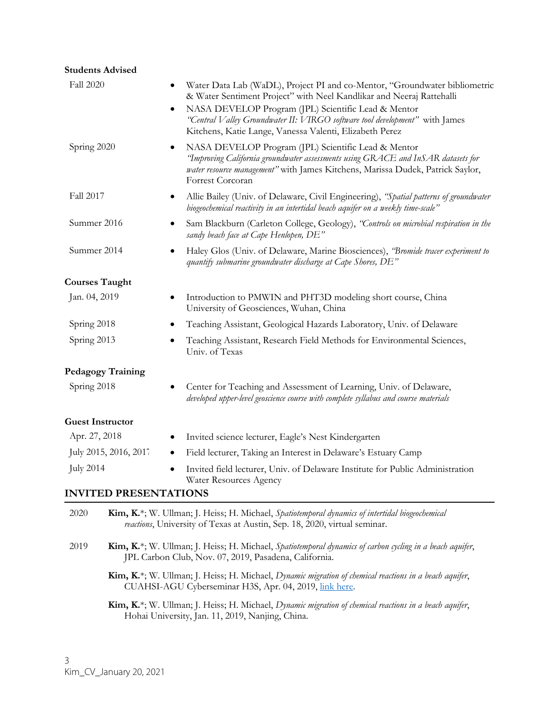| <b>Students Advised</b>      |                                                                                                                                                                                                                                                                                                                                                          |
|------------------------------|----------------------------------------------------------------------------------------------------------------------------------------------------------------------------------------------------------------------------------------------------------------------------------------------------------------------------------------------------------|
| Fall 2020                    | Water Data Lab (WaDL), Project PI and co-Mentor, "Groundwater bibliometric<br>& Water Sentiment Project" with Neel Kandlikar and Neeraj Rattehalli<br>NASA DEVELOP Program (JPL) Scientific Lead & Mentor<br>٠<br>"Central Valley Groundwater II: VIRGO software tool development" with James<br>Kitchens, Katie Lange, Vanessa Valenti, Elizabeth Perez |
| Spring 2020                  | NASA DEVELOP Program (JPL) Scientific Lead & Mentor<br>"Improving California groundwater assessments using GRACE and InSAR datasets for<br>water resource management" with James Kitchens, Marissa Dudek, Patrick Saylor,<br>Forrest Corcoran                                                                                                            |
| Fall 2017                    | Allie Bailey (Univ. of Delaware, Civil Engineering), "Spatial patterns of groundwater<br>٠<br>biogeochemical reactivity in an intertidal beach aquifer on a weekly time-scale"                                                                                                                                                                           |
| Summer 2016                  | Sam Blackburn (Carleton College, Geology), "Controls on microbial respiration in the<br>sandy beach face at Cape Henlopen, DE"                                                                                                                                                                                                                           |
| Summer 2014                  | Haley Glos (Univ. of Delaware, Marine Biosciences), 'Bromide tracer experiment to<br>quantify submarine groundwater discharge at Cape Shores, DE"                                                                                                                                                                                                        |
| <b>Courses Taught</b>        |                                                                                                                                                                                                                                                                                                                                                          |
| Jan. 04, 2019                | Introduction to PMWIN and PHT3D modeling short course, China<br>University of Geosciences, Wuhan, China                                                                                                                                                                                                                                                  |
| Spring 2018                  | Teaching Assistant, Geological Hazards Laboratory, Univ. of Delaware                                                                                                                                                                                                                                                                                     |
| Spring 2013                  | Teaching Assistant, Research Field Methods for Environmental Sciences,<br>Univ. of Texas                                                                                                                                                                                                                                                                 |
| <b>Pedagogy Training</b>     |                                                                                                                                                                                                                                                                                                                                                          |
| Spring 2018                  | Center for Teaching and Assessment of Learning, Univ. of Delaware,<br>٠<br>developed upper-level geoscience course with complete syllabus and course materials                                                                                                                                                                                           |
| <b>Guest Instructor</b>      |                                                                                                                                                                                                                                                                                                                                                          |
| Apr. 27, 2018                | Invited science lecturer, Eagle's Nest Kindergarten<br>٠                                                                                                                                                                                                                                                                                                 |
| July 2015, 2016, 2017        | Field lecturer, Taking an Interest in Delaware's Estuary Camp<br>٠                                                                                                                                                                                                                                                                                       |
| <b>July 2014</b>             | Invited field lecturer, Univ. of Delaware Institute for Public Administration<br>Water Resources Agency                                                                                                                                                                                                                                                  |
| <b>INVITED PRESENTATIONS</b> |                                                                                                                                                                                                                                                                                                                                                          |
| 2020                         | Kim, K.*; W. Ullman; J. Heiss; H. Michael, Spatiotemporal dynamics of intertidal biogeochemical<br>reactions, University of Texas at Austin, Sep. 18, 2020, virtual seminar.                                                                                                                                                                             |
| 2019                         | Kim, K <sup>*</sup> ; W. Ullman; J. Heiss; H. Michael, Spatiotemporal dynamics of carbon cycling in a beach aquifer,<br>JPL Carbon Club, Nov. 07, 2019, Pasadena, California.                                                                                                                                                                            |

**Kim, K.**\*; W. Ullman; J. Heiss; H. Michael, *Dynamic migration of chemical reactions in a beach aquifer*, CUAHSI-AGU Cyberseminar H3S, Apr. 04, 2019, [link here.](https://www.youtube.com/watch?v=9lg45DcYbKY&feature=youtu.be)

**Kim, K.**\*; W. Ullman; J. Heiss; H. Michael, *Dynamic migration of chemical reactions in a beach aquifer*, Hohai University, Jan. 11, 2019, Nanjing, China.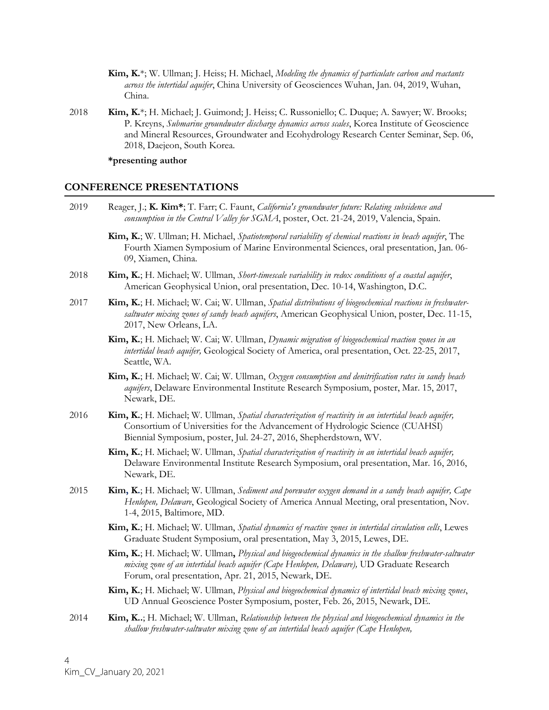- **Kim, K.**\*; W. Ullman; J. Heiss; H. Michael, *Modeling the dynamics of particulate carbon and reactants across the intertidal aquifer*, China University of Geosciences Wuhan, Jan. 04, 2019, Wuhan, China.
- 2018 **Kim, K.**\*; H. Michael; J. Guimond; J. Heiss; C. Russoniello; C. Duque; A. Sawyer; W. Brooks; P. Kreyns, *Submarine groundwater discharge dynamics across scales*, Korea Institute of Geoscience and Mineral Resources, Groundwater and Ecohydrology Research Center Seminar, Sep. 06, 2018, Daejeon, South Korea.

#### **\*presenting author**

#### **CONFERENCE PRESENTATIONS**

- 2019 Reager, J.; **K. Kim\***; T. Farr; C. Faunt, *California's groundwater future: Relating subsidence and consumption in the Central Valley for SGMA*, poster, Oct. 21-24, 2019, Valencia, Spain.
	- **Kim, K.**; W. Ullman; H. Michael, *Spatiotemporal variability of chemical reactions in beach aquifer*, The Fourth Xiamen Symposium of Marine Environmental Sciences, oral presentation, Jan. 06- 09, Xiamen, China.
- 2018 **Kim, K.**; H. Michael; W. Ullman, *Short-timescale variability in redox conditions of a coastal aquifer*, American Geophysical Union, oral presentation, Dec. 10-14, Washington, D.C.
- 2017 **Kim, K.**; H. Michael; W. Cai; W. Ullman, *Spatial distributions of biogeochemical reactions in freshwatersaltwater mixing zones of sandy beach aquifers*, American Geophysical Union, poster, Dec. 11-15, 2017, New Orleans, LA.
	- **Kim, K.**; H. Michael; W. Cai; W. Ullman, *Dynamic migration of biogeochemical reaction zones in an intertidal beach aquifer,* Geological Society of America, oral presentation, Oct. 22-25, 2017, Seattle, WA.
	- **Kim, K.**; H. Michael; W. Cai; W. Ullman, *Oxygen consumption and denitrification rates in sandy beach aquifers*, Delaware Environmental Institute Research Symposium, poster, Mar. 15, 2017, Newark, DE.
- 2016 **Kim, K.**; H. Michael; W. Ullman, *Spatial characterization of reactivity in an intertidal beach aquifer,* Consortium of Universities for the Advancement of Hydrologic Science (CUAHSI) Biennial Symposium, poster, Jul. 24-27, 2016, Shepherdstown, WV.
	- **Kim, K.**; H. Michael; W. Ullman, *Spatial characterization of reactivity in an intertidal beach aquifer,*  Delaware Environmental Institute Research Symposium, oral presentation, Mar. 16, 2016, Newark, DE.
- 2015 **Kim, K.**; H. Michael; W. Ullman, *Sediment and porewater oxygen demand in a sandy beach aquifer, Cape Henlopen, Delaware*, Geological Society of America Annual Meeting, oral presentation, Nov. 1-4, 2015, Baltimore, MD.
	- **Kim, K.**; H. Michael; W. Ullman, *Spatial dynamics of reactive zones in intertidal circulation cells*, Lewes Graduate Student Symposium, oral presentation, May 3, 2015, Lewes, DE.
	- **Kim, K.**; H. Michael; W. Ullman**,** *Physical and biogeochemical dynamics in the shallow freshwater-saltwater mixing zone of an intertidal beach aquifer (Cape Henlopen, Delaware),* UD Graduate Research Forum, oral presentation, Apr. 21, 2015, Newark, DE.
	- **Kim, K.**; H. Michael; W. Ullman, *Physical and biogeochemical dynamics of intertidal beach mixing zones*, UD Annual Geoscience Poster Symposium, poster, Feb. 26, 2015, Newark, DE.
- 2014 **Kim, K..**; H. Michael; W. Ullman, *Relationship between the physical and biogeochemical dynamics in the shallow freshwater-saltwater mixing zone of an intertidal beach aquifer (Cape Henlopen,*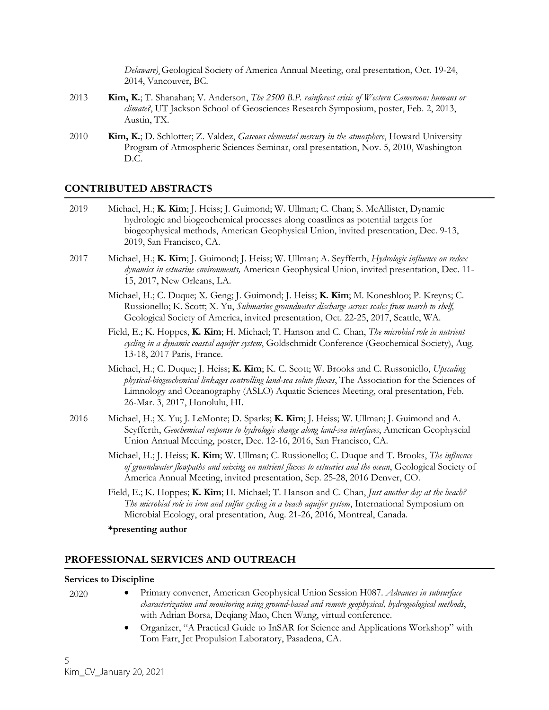*Delaware)*¸Geological Society of America Annual Meeting, oral presentation, Oct. 19-24, 2014, Vancouver, BC.

- 2013 **Kim, K.**; T. Shanahan; V. Anderson, *The 2500 B.P. rainforest crisis of Western Cameroon: humans or climate?*, UT Jackson School of Geosciences Research Symposium, poster, Feb. 2, 2013, Austin, TX.
- 2010 **Kim, K.**; D. Schlotter; Z. Valdez, *Gaseous elemental mercury in the atmosphere*, Howard University Program of Atmospheric Sciences Seminar, oral presentation, Nov. 5, 2010, Washington D.C.

#### **CONTRIBUTED ABSTRACTS**

- 2019 Michael, H.; **K. Kim**; J. Heiss; J. Guimond; W. Ullman; C. Chan; S. McAllister, Dynamic hydrologic and biogeochemical processes along coastlines as potential targets for biogeophysical methods, American Geophysical Union, invited presentation, Dec. 9-13, 2019, San Francisco, CA.
- 2017 Michael, H.; **K. Kim**; J. Guimond; J. Heiss; W. Ullman; A. Seyfferth, *Hydrologic influence on redox dynamics in estuarine environments,* American Geophysical Union, invited presentation, Dec. 11- 15, 2017, New Orleans, LA.
	- Michael, H.; C. Duque; X. Geng; J. Guimond; J. Heiss; **K. Kim**; M. Koneshloo; P. Kreyns; C. Russionello; K. Scott; X. Yu, *Submarine groundwater discharge across scales from marsh to shelf,* Geological Society of America, invited presentation, Oct. 22-25, 2017, Seattle, WA.
	- Field, E.; K. Hoppes, **K. Kim**; H. Michael; T. Hanson and C. Chan, *The microbial role in nutrient cycling in a dynamic coastal aquifer system*, Goldschmidt Conference (Geochemical Society), Aug. 13-18, 2017 Paris, France.
	- Michael, H.; C. Duque; J. Heiss; **K. Kim**; K. C. Scott; W. Brooks and C. Russoniello, *Upscaling physical-biogeochemical linkages controlling land-sea solute fluxes*, The Association for the Sciences of Limnology and Oceanography (ASLO) Aquatic Sciences Meeting, oral presentation, Feb. 26-Mar. 3, 2017, Honolulu, HI.
- 2016 Michael, H.; X. Yu; J. LeMonte; D. Sparks; **K. Kim**; J. Heiss; W. Ullman; J. Guimond and A. Seyfferth, *Geochemical response to hydrologic change along land-sea interfaces*, American Geophyscial Union Annual Meeting, poster, Dec. 12-16, 2016, San Francisco, CA.
	- Michael, H.; J. Heiss; **K. Kim**; W. Ullman; C. Russionello; C. Duque and T. Brooks, *The influence of groundwater flowpaths and mixing on nutrient fluxes to estuaries and the ocean*, Geological Society of America Annual Meeting, invited presentation, Sep. 25-28, 2016 Denver, CO.
	- Field, E.; K. Hoppes; **K. Kim**; H. Michael; T. Hanson and C. Chan, *Just another day at the beach? The microbial role in iron and sulfur cycling in a beach aquifer system*, International Symposium on Microbial Ecology, oral presentation, Aug. 21-26, 2016, Montreal, Canada.

#### **\*presenting author**

#### **PROFESSIONAL SERVICES AND OUTREACH**

#### **Services to Discipline**

- 2020 Primary convener, American Geophysical Union Session H087. *Advances in subsurface characterization and monitoring using ground-based and remote geophysical, hydrogeological methods*, with Adrian Borsa, Deqiang Mao, Chen Wang, virtual conference.
	- Organizer, "A Practical Guide to InSAR for Science and Applications Workshop" with Tom Farr, Jet Propulsion Laboratory, Pasadena, CA.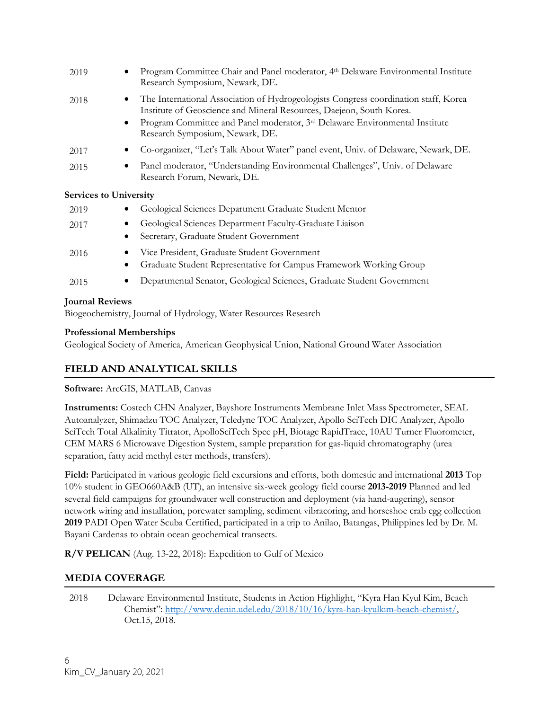| 2019                          |                | Program Committee Chair and Panel moderator, 4th Delaware Environmental Institute<br>Research Symposium, Newark, DE.                                                                                                                                                                      |
|-------------------------------|----------------|-------------------------------------------------------------------------------------------------------------------------------------------------------------------------------------------------------------------------------------------------------------------------------------------|
| 2018                          | $\bullet$<br>٠ | The International Association of Hydrogeologists Congress coordination staff, Korea<br>Institute of Geoscience and Mineral Resources, Daejeon, South Korea.<br>Program Committee and Panel moderator, 3 <sup>rd</sup> Delaware Environmental Institute<br>Research Symposium, Newark, DE. |
| 2017                          |                | Co-organizer, "Let's Talk About Water" panel event, Univ. of Delaware, Newark, DE.                                                                                                                                                                                                        |
| 2015                          |                | Panel moderator, "Understanding Environmental Challenges", Univ. of Delaware<br>Research Forum, Newark, DE.                                                                                                                                                                               |
| <b>Services to University</b> |                |                                                                                                                                                                                                                                                                                           |
| 2019                          |                | Geological Sciences Department Graduate Student Mentor                                                                                                                                                                                                                                    |
| 2017                          | ٠              | Geological Sciences Department Faculty-Graduate Liaison<br>Secretary, Graduate Student Government                                                                                                                                                                                         |
|                               |                |                                                                                                                                                                                                                                                                                           |
| 2016                          | $\bullet$      | Vice President, Graduate Student Government<br>Graduate Student Representative for Campus Framework Working Group                                                                                                                                                                         |

## **Journal Reviews**

Biogeochemistry, Journal of Hydrology, Water Resources Research

## **Professional Memberships**

Geological Society of America, American Geophysical Union, National Ground Water Association

# **FIELD AND ANALYTICAL SKILLS**

## **Software:** ArcGIS, MATLAB, Canvas

**Instruments:** Costech CHN Analyzer, Bayshore Instruments Membrane Inlet Mass Spectrometer, SEAL Autoanalyzer, Shimadzu TOC Analyzer, Teledyne TOC Analyzer, Apollo SciTech DIC Analyzer, Apollo SciTech Total Alkalinity Titrator, ApolloSciTech Spec pH, Biotage RapidTrace, 10AU Turner Fluorometer, CEM MARS 6 Microwave Digestion System, sample preparation for gas-liquid chromatography (urea separation, fatty acid methyl ester methods, transfers).

**Field:** Participated in various geologic field excursions and efforts, both domestic and international **2013** Top 10% student in GEO660A&B (UT), an intensive six-week geology field course **2013-2019** Planned and led several field campaigns for groundwater well construction and deployment (via hand-augering), sensor network wiring and installation, porewater sampling, sediment vibracoring, and horseshoe crab egg collection **2019** PADI Open Water Scuba Certified, participated in a trip to Anilao, Batangas, Philippines led by Dr. M. Bayani Cardenas to obtain ocean geochemical transects.

**R/V PELICAN** (Aug. 13-22, 2018): Expedition to Gulf of Mexico

# **MEDIA COVERAGE**

2018 Delaware Environmental Institute, Students in Action Highlight, "Kyra Han Kyul Kim, Beach Chemist": [http://www.denin.udel.edu/2018/10/16/kyra-han-kyulkim-beach-chemist/,](http://www.denin.udel.edu/2018/10/16/kyra-han-kyulkim-beach-chemist/)  Oct.15, 2018.